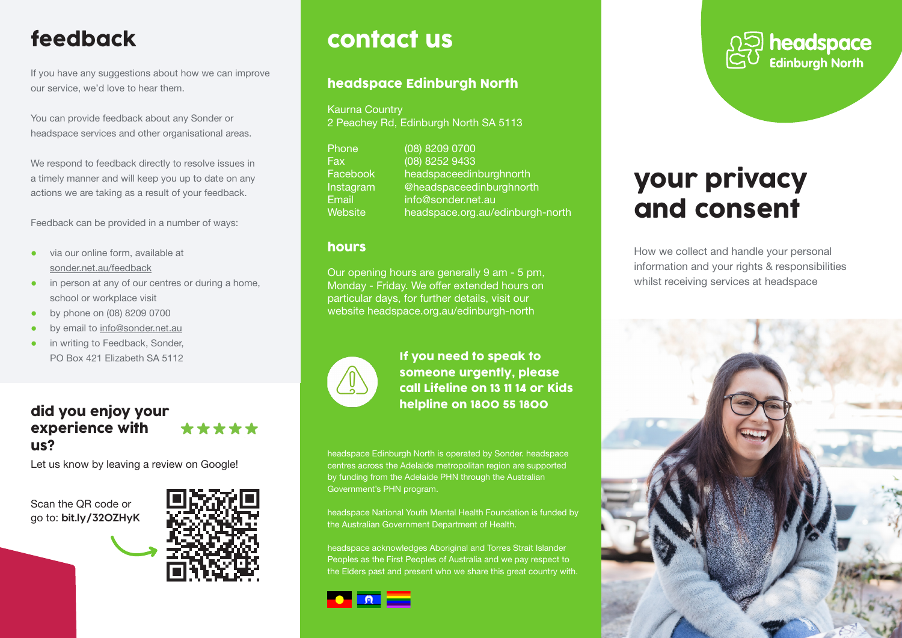# feedback

If you have any suggestions about how we can improve our service, we'd love to hear them.

You can provide feedback about any Sonder or headspace services and other organisational areas.

We respond to feedback directly to resolve issues in a timely manner and will keep you up to date on any actions we are taking as a result of your feedback.

Feedback can be provided in a number of ways:

- via our online form, available at sonder.net.au/feedback
- in person at any of our centres or during a home, school or workplace visit
- by phone on (08) 8209 0700
- by email to info@sonder.net.au
- **•** in writing to Feedback, Sonder, PO Box 421 Elizabeth SA 5112

### did you enjoy your \*\*\*\*\* experience with us?

Let us know by leaving a review on Google!

Scan the QR code or go to: **bit.ly/32OZHyK**



# contact us

## headspace Edinburgh North

Kaurna Country 2 Peachey Rd, Edinburgh North SA 5113

Phone (08) 8209 0700 Fax (08) 8252 9433 Facebook headspaceedinburghnorth Instagram @headspaceedinburghnorth Email info@sonder.net.au Website headspace.org.au/edinburgh-north

## hours

Our opening hours are generally 9 am - 5 pm, Monday - Friday. We offer extended hours on particular days, for further details, visit our website headspace.org.au/edinburgh-north



If you need to speak to someone urgently, please call Lifeline on 13 11 14 or Kids helpline on 1800 55 1800

headspace Edinburgh North is operated by Sonder. headspace centres across the Adelaide metropolitan region are supported by funding from the Adelaide PHN through the Australian Government's PHN program.

headspace National Youth Mental Health Foundation is funded by the Australian Government Department of Health.

headspace acknowledges Aboriginal and Torres Strait Islander Peoples as the First Peoples of Australia and we pay respect to the Elders past and present who we share this great country with.





# your privacy and consent

How we collect and handle your personal information and your rights & responsibilities whilst receiving services at headspace